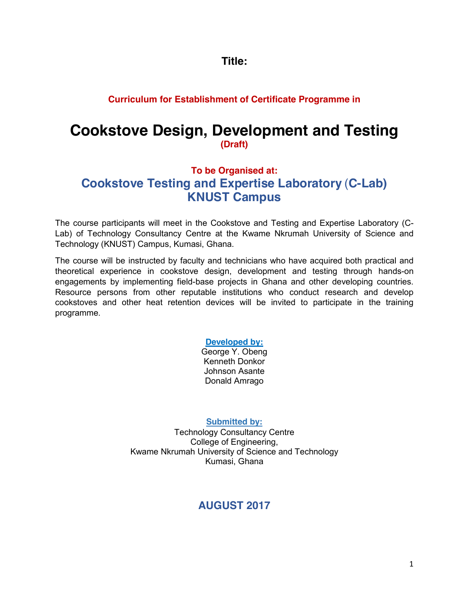**Title:**

### **Curriculum for Establishment of Certificate Programme in**

# **Cookstove Design, Development and Testing (Draft)**

# **To be Organised at: Cookstove Testing and Expertise Laboratory** (**C-Lab) KNUST Campus**

The course participants will meet in the Cookstove and Testing and Expertise Laboratory (C-Lab) of Technology Consultancy Centre at the Kwame Nkrumah University of Science and Technology (KNUST) Campus, Kumasi, Ghana.

The course will be instructed by faculty and technicians who have acquired both practical and theoretical experience in cookstove design, development and testing through hands-on engagements by implementing field-base projects in Ghana and other developing countries. Resource persons from other reputable institutions who conduct research and develop cookstoves and other heat retention devices will be invited to participate in the training programme.

### **Developed by:**

George Y. Obeng Kenneth Donkor Johnson Asante Donald Amrago

**Submitted by:**

Technology Consultancy Centre College of Engineering, Kwame Nkrumah University of Science and Technology Kumasi, Ghana

# **AUGUST 2017**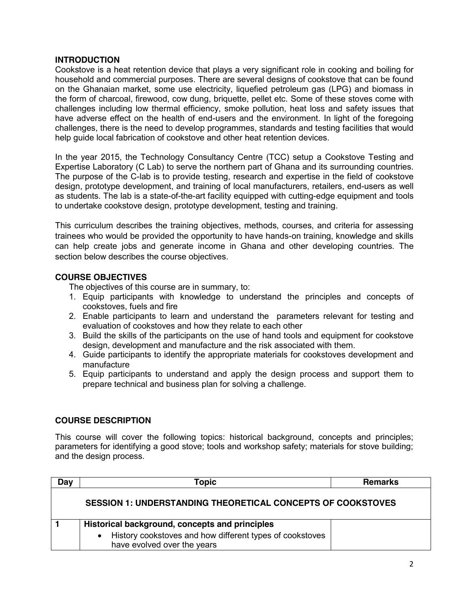#### **INTRODUCTION**

Cookstove is a heat retention device that plays a very significant role in cooking and boiling for household and commercial purposes. There are several designs of cookstove that can be found on the Ghanaian market, some use electricity, liquefied petroleum gas (LPG) and biomass in the form of charcoal, firewood, cow dung, briquette, pellet etc. Some of these stoves come with challenges including low thermal efficiency, smoke pollution, heat loss and safety issues that have adverse effect on the health of end-users and the environment. In light of the foregoing challenges, there is the need to develop programmes, standards and testing facilities that would help guide local fabrication of cookstove and other heat retention devices.

In the year 2015, the Technology Consultancy Centre (TCC) setup a Cookstove Testing and Expertise Laboratory (C Lab) to serve the northern part of Ghana and its surrounding countries. The purpose of the C-lab is to provide testing, research and expertise in the field of cookstove design, prototype development, and training of local manufacturers, retailers, end-users as well as students. The lab is a state-of-the-art facility equipped with cutting-edge equipment and tools to undertake cookstove design, prototype development, testing and training.

This curriculum describes the training objectives, methods, courses, and criteria for assessing trainees who would be provided the opportunity to have hands-on training, knowledge and skills can help create jobs and generate income in Ghana and other developing countries. The section below describes the course objectives.

#### **COURSE OBJECTIVES**

The objectives of this course are in summary, to:

- 1. Equip participants with knowledge to understand the principles and concepts of cookstoves, fuels and fire
- 2. Enable participants to learn and understand the parameters relevant for testing and evaluation of cookstoves and how they relate to each other
- 3. Build the skills of the participants on the use of hand tools and equipment for cookstove design, development and manufacture and the risk associated with them.
- 4. Guide participants to identify the appropriate materials for cookstoves development and manufacture
- 5. Equip participants to understand and apply the design process and support them to prepare technical and business plan for solving a challenge.

#### **COURSE DESCRIPTION**

This course will cover the following topics: historical background, concepts and principles; parameters for identifying a good stove; tools and workshop safety; materials for stove building; and the design process.

| Day | Topic                                                                                   | <b>Remarks</b> |
|-----|-----------------------------------------------------------------------------------------|----------------|
|     | <b>SESSION 1: UNDERSTANDING THEORETICAL CONCEPTS OF COOKSTOVES</b>                      |                |
|     | Historical background, concepts and principles                                          |                |
|     | History cookstoves and how different types of cookstoves<br>have evolved over the years |                |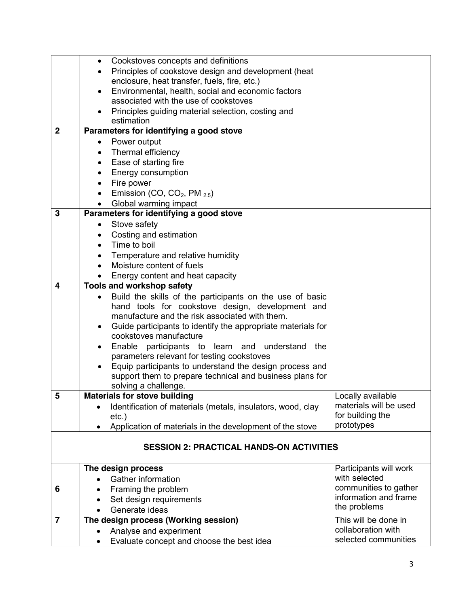|                                                 | Cookstoves concepts and definitions<br>$\bullet$                         |                        |  |  |
|-------------------------------------------------|--------------------------------------------------------------------------|------------------------|--|--|
|                                                 | Principles of cookstove design and development (heat                     |                        |  |  |
|                                                 | enclosure, heat transfer, fuels, fire, etc.)                             |                        |  |  |
|                                                 | Environmental, health, social and economic factors                       |                        |  |  |
|                                                 | associated with the use of cookstoves                                    |                        |  |  |
|                                                 | Principles guiding material selection, costing and                       |                        |  |  |
|                                                 | estimation                                                               |                        |  |  |
| $\mathbf{2}$                                    | Parameters for identifying a good stove                                  |                        |  |  |
|                                                 | Power output                                                             |                        |  |  |
|                                                 | Thermal efficiency                                                       |                        |  |  |
|                                                 | Ease of starting fire<br>$\bullet$                                       |                        |  |  |
|                                                 | Energy consumption<br>$\bullet$                                          |                        |  |  |
|                                                 | Fire power<br>$\bullet$                                                  |                        |  |  |
|                                                 | Emission (CO, $CO2$ , PM $2.5$ )                                         |                        |  |  |
|                                                 | Global warming impact                                                    |                        |  |  |
| 3                                               | Parameters for identifying a good stove                                  |                        |  |  |
|                                                 | Stove safety                                                             |                        |  |  |
|                                                 | Costing and estimation                                                   |                        |  |  |
|                                                 | Time to boil<br>$\bullet$                                                |                        |  |  |
|                                                 | Temperature and relative humidity<br>$\bullet$                           |                        |  |  |
|                                                 | Moisture content of fuels                                                |                        |  |  |
|                                                 | Energy content and heat capacity                                         |                        |  |  |
| 4                                               | <b>Tools and workshop safety</b>                                         |                        |  |  |
|                                                 | Build the skills of the participants on the use of basic                 |                        |  |  |
|                                                 | hand tools for cookstove design, development and                         |                        |  |  |
|                                                 | manufacture and the risk associated with them.                           |                        |  |  |
|                                                 | Guide participants to identify the appropriate materials for             |                        |  |  |
|                                                 | cookstoves manufacture                                                   |                        |  |  |
|                                                 | Enable participants to learn and understand<br>the                       |                        |  |  |
|                                                 | parameters relevant for testing cookstoves                               |                        |  |  |
|                                                 | Equip participants to understand the design process and                  |                        |  |  |
|                                                 | support them to prepare technical and business plans for                 |                        |  |  |
|                                                 | solving a challenge.                                                     |                        |  |  |
| 5                                               | <b>Materials for stove building</b>                                      | ocally available       |  |  |
|                                                 | Identification of materials (metals, insulators, wood, clay<br>$\bullet$ | materials will be used |  |  |
|                                                 | $etc.$ )                                                                 | for building the       |  |  |
|                                                 | Application of materials in the development of the stove                 | prototypes             |  |  |
|                                                 |                                                                          |                        |  |  |
| <b>SESSION 2: PRACTICAL HANDS-ON ACTIVITIES</b> |                                                                          |                        |  |  |
|                                                 | The design process                                                       | Participants will work |  |  |
|                                                 | Gather information                                                       | with selected          |  |  |
| 6                                               | Framing the problem                                                      | communities to gather  |  |  |
|                                                 | Set design requirements<br>$\bullet$                                     | information and frame  |  |  |
|                                                 | Generate ideas<br>$\bullet$                                              | the problems           |  |  |
| $\overline{7}$                                  | The design process (Working session)                                     | This will be done in   |  |  |
|                                                 | Analyse and experiment                                                   | collaboration with     |  |  |
|                                                 | Evaluate concept and choose the best idea                                | selected communities   |  |  |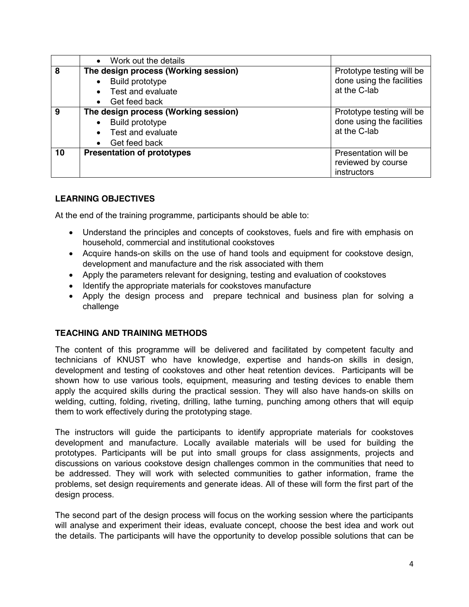|    | • Work out the details               |                           |
|----|--------------------------------------|---------------------------|
| 8  | The design process (Working session) | Prototype testing will be |
|    | • Build prototype                    | done using the facilities |
|    | Test and evaluate<br>$\bullet$       | at the C-lab              |
|    | Get feed back<br>$\bullet$           |                           |
| 9  | The design process (Working session) | Prototype testing will be |
|    | • Build prototype                    | done using the facilities |
|    | Test and evaluate<br>$\bullet$       | at the C-lab              |
|    | • Get feed back                      |                           |
| 10 | <b>Presentation of prototypes</b>    | Presentation will be      |
|    |                                      | reviewed by course        |
|    |                                      | instructors               |

#### **LEARNING OBJECTIVES**

At the end of the training programme, participants should be able to:

- Understand the principles and concepts of cookstoves, fuels and fire with emphasis on household, commercial and institutional cookstoves
- Acquire hands-on skills on the use of hand tools and equipment for cookstove design, development and manufacture and the risk associated with them
- Apply the parameters relevant for designing, testing and evaluation of cookstoves
- Identify the appropriate materials for cookstoves manufacture
- Apply the design process and prepare technical and business plan for solving a challenge

#### **TEACHING AND TRAINING METHODS**

The content of this programme will be delivered and facilitated by competent faculty and technicians of KNUST who have knowledge, expertise and hands-on skills in design, development and testing of cookstoves and other heat retention devices. Participants will be shown how to use various tools, equipment, measuring and testing devices to enable them apply the acquired skills during the practical session. They will also have hands-on skills on welding, cutting, folding, riveting, drilling, lathe turning, punching among others that will equip them to work effectively during the prototyping stage.

The instructors will guide the participants to identify appropriate materials for cookstoves development and manufacture. Locally available materials will be used for building the prototypes. Participants will be put into small groups for class assignments, projects and discussions on various cookstove design challenges common in the communities that need to be addressed. They will work with selected communities to gather information, frame the problems, set design requirements and generate ideas. All of these will form the first part of the design process.

The second part of the design process will focus on the working session where the participants will analyse and experiment their ideas, evaluate concept, choose the best idea and work out the details. The participants will have the opportunity to develop possible solutions that can be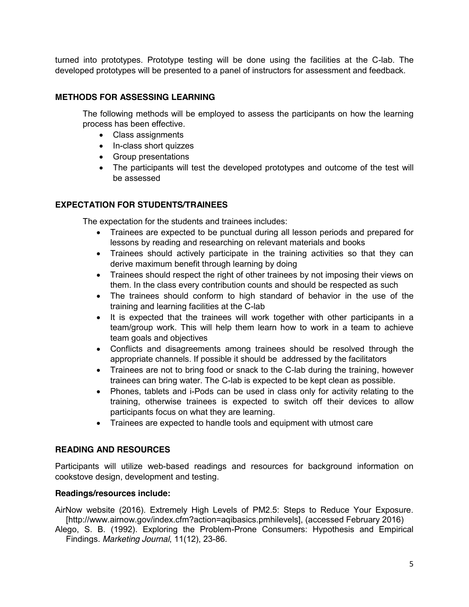turned into prototypes. Prototype testing will be done using the facilities at the C-lab. The developed prototypes will be presented to a panel of instructors for assessment and feedback.

#### **METHODS FOR ASSESSING LEARNING**

The following methods will be employed to assess the participants on how the learning process has been effective.

- Class assignments
- In-class short quizzes
- Group presentations
- The participants will test the developed prototypes and outcome of the test will be assessed

#### **EXPECTATION FOR STUDENTS/TRAINEES**

The expectation for the students and trainees includes:

- Trainees are expected to be punctual during all lesson periods and prepared for lessons by reading and researching on relevant materials and books
- Trainees should actively participate in the training activities so that they can derive maximum benefit through learning by doing
- Trainees should respect the right of other trainees by not imposing their views on them. In the class every contribution counts and should be respected as such
- The trainees should conform to high standard of behavior in the use of the training and learning facilities at the C-lab
- It is expected that the trainees will work together with other participants in a team/group work. This will help them learn how to work in a team to achieve team goals and objectives
- Conflicts and disagreements among trainees should be resolved through the appropriate channels. If possible it should be addressed by the facilitators
- Trainees are not to bring food or snack to the C-lab during the training, however trainees can bring water. The C-lab is expected to be kept clean as possible.
- Phones, tablets and i-Pods can be used in class only for activity relating to the training, otherwise trainees is expected to switch off their devices to allow participants focus on what they are learning.
- Trainees are expected to handle tools and equipment with utmost care

#### **READING AND RESOURCES**

Participants will utilize web-based readings and resources for background information on cookstove design, development and testing.

#### **Readings/resources include:**

AirNow website (2016). Extremely High Levels of PM2.5: Steps to Reduce Your Exposure. [http://www.airnow.gov/index.cfm?action=aqibasics.pmhilevels], (accessed February 2016)

Alego, S. B. (1992). Exploring the Problem-Prone Consumers: Hypothesis and Empirical Findings. *Marketing Journal*, 11(12), 23-86.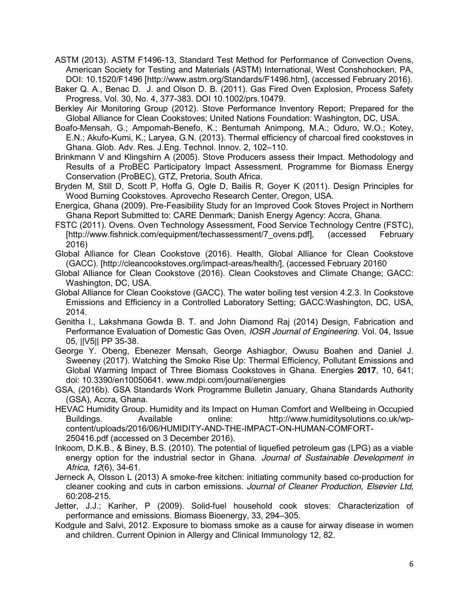- ASTM (2013). ASTM F1496-13, Standard Test Method for Performance of Convection Ovens, American Society for Testing and Materials (ASTM) International, West Conshohocken, PA, DOI: 10.1520/F1496 [http://www.astm.org/Standards/F1496.htm], (accessed February 2016).
- Baker Q. A., Benac D. J. and Olson D. B. (2011). Gas Fired Oven Explosion, Process Safety Progress, Vol. 30, No. 4, 377-383. DOI 10.1002/prs.10479.
- Berkley Air Monitoring Group (2012). Stove Performance Inventory Report; Prepared for the Global Alliance for Clean Cookstoves; United Nations Foundation: Washington, DC, USA.
- Boafo-Mensah, G.; Ampomah-Benefo, K.; Bentumah Animpong, M.A.; Oduro, W.O.; Kotey, E.N.; Akufo-Kumi, K.; Laryea, G.N. (2013). Thermal efficiency of charcoal fired cookstoves in Ghana. Glob. Adv. Res. J.Eng. Technol. Innov. 2, 102–110.
- Brinkmann V and Klingshirn A (2005). Stove Producers assess their Impact. Methodology and Results of a ProBEC Participatory Impact Assessment. Programme for Biomass Energy Conservation (ProBEC), GTZ, Pretoria, South Africa.
- Bryden M, Still D, Scott P, Hoffa G, Ogle D, Bailis R, Goyer K (2011). Design Principles for Wood Burning Cookstoves. Aprovecho Research Center, Oregon, USA.
- Energica, Ghana (2009). Pre-Feasibility Study for an Improved Cook Stoves Project in Northern Ghana Report Submitted to: CARE Denmark; Danish Energy Agency: Accra, Ghana.
- FSTC (2011). Ovens. Oven Technology Assessment, Food Service Technology Centre (FSTC), [http://www.fishnick.com/equipment/techassessment/7\_ovens.pdf], (accessed February 2016)
- Global Alliance for Clean Cookstove (2016). Health, Global Alliance for Clean Cookstove (GACC). [http://cleancookstoves.org/impact-areas/health/], (accessed February 20160
- Global Alliance for Clean Cookstove (2016). Clean Cookstoves and Climate Change; GACC: Washington, DC, USA.
- Global Alliance for Clean Cookstove (GACC). The water boiling test version 4.2.3. In Cookstove Emissions and Efficiency in a Controlled Laboratory Setting; GACC:Washington, DC, USA, 2014.
- Genitha I., Lakshmana Gowda B. T. and John Diamond Raj (2014) Design, Fabrication and Performance Evaluation of Domestic Gas Oven, *IOSR Journal of Engineering*. Vol. 04, Issue 05, ||V5|| PP 35-38.
- George Y. Obeng, Ebenezer Mensah, George Ashiagbor, Owusu Boahen and Daniel J. Sweeney (2017). Watching the Smoke Rise Up: Thermal Efficiency, Pollutant Emissions and Global Warming Impact of Three Biomass Cookstoves in Ghana. Energies **2017**, 10, 641; doi: 10.3390/en10050641. www.mdpi.com/journal/energies
- GSA, (2016b). GSA Standards Work Programme Bulletin January, Ghana Standards Authority (GSA), Accra, Ghana.
- HEVAC Humidity Group. Humidity and its Impact on Human Comfort and Wellbeing in Occupied Buildings. Available online: http://www.humiditysolutions.co.uk/wpcontent/uploads/2016/06/HUMIDITY-AND-THE-IMPACT-ON-HUMAN-COMFORT-250416.pdf (accessed on 3 December 2016).
- Inkoom, D.K.B., & Biney, B.S. (2010). The potential of liquefied petroleum gas (LPG) as a viable energy option for the industrial sector in Ghana. *Journal of Sustainable Development in Africa, 12*(6), 34-61.
- Jerneck A, Olsson L (2013) A smoke-free kitchen: initiating community based co-production for cleaner cooking and cuts in carbon emissions. *Journal of Cleaner Production, Elsevier Ltd,*  60:208-215.
- Jetter, J.J.; Kariher, P (2009). Solid-fuel household cook stoves: Characterization of performance and emissions. Biomass Bioenergy, 33, 294–305.
- Kodgule and Salvi, 2012. Exposure to biomass smoke as a cause for airway disease in women and children. Current Opinion in Allergy and Clinical Immunology 12, 82.